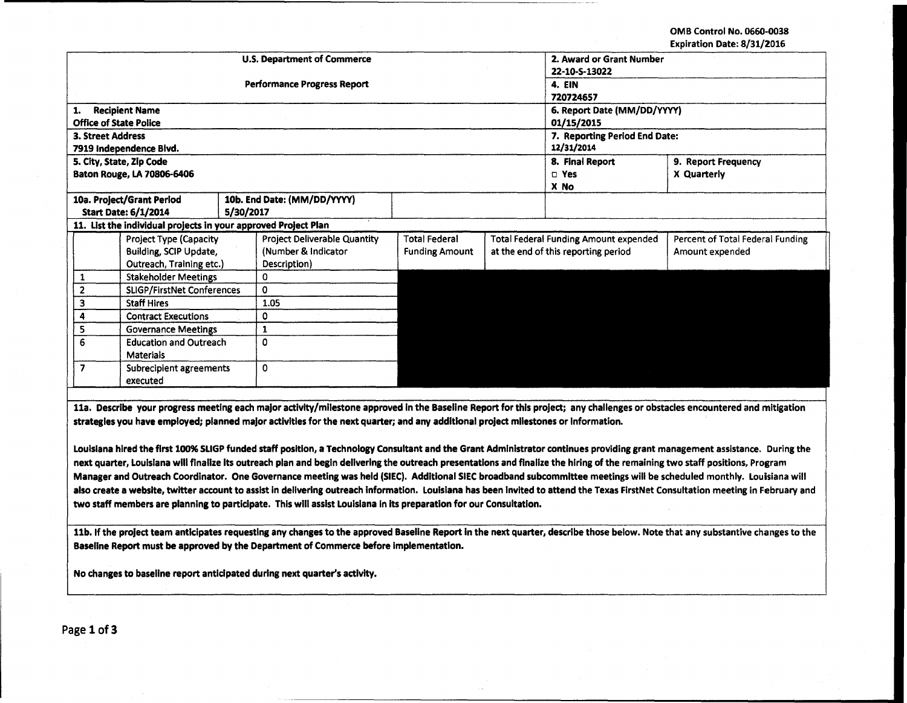**OMB Control No. 0660-0038** Expiration Date: 8/31/2016

|                                  |                                                                                                                                                                                                                                     |                                                                                                                                                                                 |                                                                                                                                                                                        |  |                 | rvhilannii Narc' ol 911 cata                                                                                                                        |  |
|----------------------------------|-------------------------------------------------------------------------------------------------------------------------------------------------------------------------------------------------------------------------------------|---------------------------------------------------------------------------------------------------------------------------------------------------------------------------------|----------------------------------------------------------------------------------------------------------------------------------------------------------------------------------------|--|-----------------|-----------------------------------------------------------------------------------------------------------------------------------------------------|--|
|                                  |                                                                                                                                                                                                                                     |                                                                                                                                                                                 | 2. Award or Grant Number                                                                                                                                                               |  |                 |                                                                                                                                                     |  |
|                                  |                                                                                                                                                                                                                                     |                                                                                                                                                                                 | 22-10-S-13022                                                                                                                                                                          |  |                 |                                                                                                                                                     |  |
|                                  |                                                                                                                                                                                                                                     |                                                                                                                                                                                 |                                                                                                                                                                                        |  | 4. EIN          |                                                                                                                                                     |  |
|                                  |                                                                                                                                                                                                                                     |                                                                                                                                                                                 | 720724657                                                                                                                                                                              |  |                 |                                                                                                                                                     |  |
|                                  |                                                                                                                                                                                                                                     |                                                                                                                                                                                 |                                                                                                                                                                                        |  |                 |                                                                                                                                                     |  |
|                                  |                                                                                                                                                                                                                                     |                                                                                                                                                                                 |                                                                                                                                                                                        |  | 01/15/2015      |                                                                                                                                                     |  |
|                                  |                                                                                                                                                                                                                                     |                                                                                                                                                                                 |                                                                                                                                                                                        |  |                 |                                                                                                                                                     |  |
|                                  |                                                                                                                                                                                                                                     |                                                                                                                                                                                 |                                                                                                                                                                                        |  | 12/31/2014      |                                                                                                                                                     |  |
|                                  |                                                                                                                                                                                                                                     |                                                                                                                                                                                 |                                                                                                                                                                                        |  | 8. Final Report | 9. Report Frequency                                                                                                                                 |  |
|                                  |                                                                                                                                                                                                                                     |                                                                                                                                                                                 |                                                                                                                                                                                        |  | $\square$ Yes   | X Quarterly                                                                                                                                         |  |
|                                  |                                                                                                                                                                                                                                     |                                                                                                                                                                                 |                                                                                                                                                                                        |  | X No            |                                                                                                                                                     |  |
|                                  |                                                                                                                                                                                                                                     |                                                                                                                                                                                 |                                                                                                                                                                                        |  |                 |                                                                                                                                                     |  |
|                                  |                                                                                                                                                                                                                                     |                                                                                                                                                                                 |                                                                                                                                                                                        |  |                 |                                                                                                                                                     |  |
|                                  |                                                                                                                                                                                                                                     |                                                                                                                                                                                 |                                                                                                                                                                                        |  |                 |                                                                                                                                                     |  |
|                                  |                                                                                                                                                                                                                                     | <b>Project Deliverable Quantity</b>                                                                                                                                             | <b>Total Federal</b>                                                                                                                                                                   |  |                 | Percent of Total Federal Funding                                                                                                                    |  |
|                                  |                                                                                                                                                                                                                                     | (Number & Indicator                                                                                                                                                             | <b>Funding Amount</b>                                                                                                                                                                  |  |                 | Amount expended                                                                                                                                     |  |
| Outreach, Training etc.)         |                                                                                                                                                                                                                                     | Description)                                                                                                                                                                    |                                                                                                                                                                                        |  |                 |                                                                                                                                                     |  |
| <b>Stakeholder Meetings</b><br>1 |                                                                                                                                                                                                                                     | 0                                                                                                                                                                               |                                                                                                                                                                                        |  |                 |                                                                                                                                                     |  |
|                                  |                                                                                                                                                                                                                                     | 0                                                                                                                                                                               |                                                                                                                                                                                        |  |                 |                                                                                                                                                     |  |
| <b>Staff Hires</b>               |                                                                                                                                                                                                                                     | 1.05                                                                                                                                                                            |                                                                                                                                                                                        |  |                 |                                                                                                                                                     |  |
| <b>Contract Executions</b>       |                                                                                                                                                                                                                                     | 0                                                                                                                                                                               |                                                                                                                                                                                        |  |                 |                                                                                                                                                     |  |
|                                  |                                                                                                                                                                                                                                     |                                                                                                                                                                                 |                                                                                                                                                                                        |  |                 |                                                                                                                                                     |  |
|                                  |                                                                                                                                                                                                                                     | 0                                                                                                                                                                               |                                                                                                                                                                                        |  |                 |                                                                                                                                                     |  |
| <b>Materials</b>                 |                                                                                                                                                                                                                                     |                                                                                                                                                                                 |                                                                                                                                                                                        |  |                 |                                                                                                                                                     |  |
|                                  |                                                                                                                                                                                                                                     | 0                                                                                                                                                                               |                                                                                                                                                                                        |  |                 |                                                                                                                                                     |  |
| executed                         |                                                                                                                                                                                                                                     |                                                                                                                                                                                 |                                                                                                                                                                                        |  |                 |                                                                                                                                                     |  |
|                                  | <b>Recipient Name</b><br><b>Office of State Police</b><br><b>3. Street Address</b><br>7919 Independence Bivd.<br>5. City, State, Zip Code<br>Baton Rouge, LA 70806-6406<br>10a. Project/Grant Period<br><b>Start Date: 6/1/2014</b> | Project Type (Capacity<br>Building, SCIP Update,<br><b>SLIGP/FirstNet Conferences</b><br><b>Governance Meetings</b><br><b>Education and Outreach</b><br>Subrecipient agreements | <b>U.S. Department of Commerce</b><br><b>Performance Progress Report</b><br>10b. End Date: (MM/DD/YYYY)<br>5/30/2017<br>11. List the individual projects in your approved Project Plan |  |                 | 6. Report Date (MM/DD/YYYY)<br>7. Reporting Period End Date:<br><b>Total Federal Funding Amount expended</b><br>at the end of this reporting period |  |

lla. Describe your progress meeting each major activity/milestone approved In the Baseline Report for this project; any challenges or obstacles encountered and mitigation strategies you have employed; planned major activities for the next quarter; and any additional project milestones or Information.

Louisiana hired the first 100% SLIGP funded staff position, a Technology Consultant and the Grant Administrator continues providing grant management assistance. During the next quarter, Louisiana will finalize its outreach plan and begin delivering the outreach presentations and finalize the hiring of the remaining two staff positions, Program Manager and Outreach Coordinator. One Governance meeting was held (SIEC). Additional SIEC broadband subcommittee meetings will be scheduled monthly. Louisiana will also create a website, twitter account to assist in delivering outreach information. Louisiana has been invited to attend the Texas FirstNet Consultation meeting in February and two staff members are planning to participate. This will assist Louisiana in its preparation for our Consultation.

llb. If the project team anticipates requesting any changes to the approved Baseline Report In the next quarter, describe those below. Note that any substantive changes to the Baseline Report must be approved by the Department of Commerce before Implementation.

No changes to baseline report anticipated during next quarter's activity.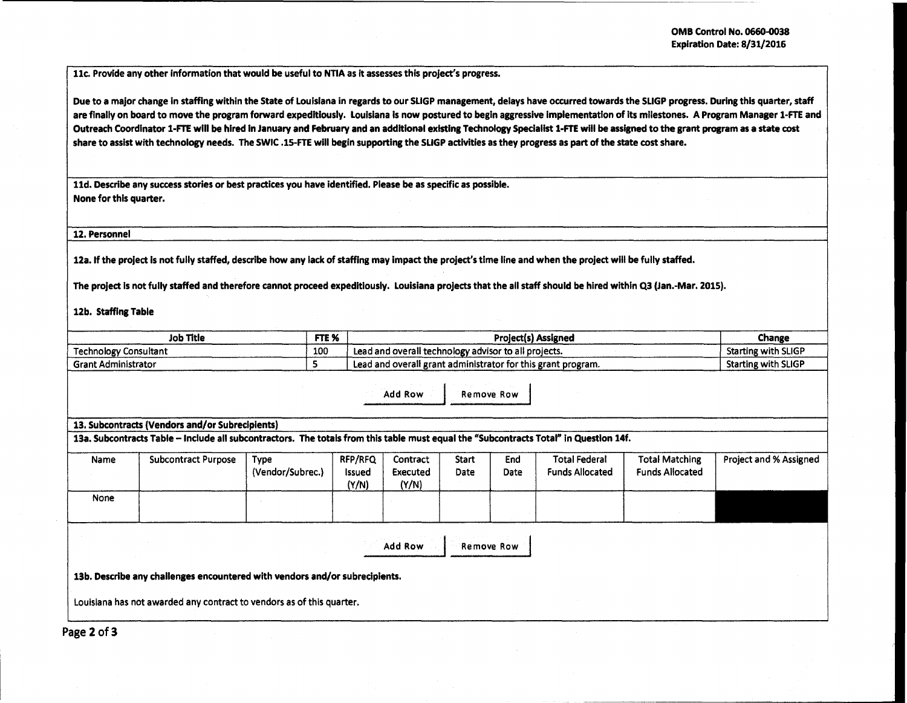llc. Provide any other information that would be useful to NTIA as it assesses this project's progress.

Due to a major change in staffing within the State of Louisiana in regards to our SLIGP management, delays have occurred towards the SLIGP progress. During this quarter, staff are finally on board to move the program forward expeditiously. Louisiana is now postured to begin aggressive implementation of its milestones. A Program Manager 1-FTE and Outreach Coordinator 1·FTE will be hired In January and February and an additional existing Technology Specialist 1-FTE will be assigned to the grant program as a state cost share to assist with technology needs. The SWIC .15-FTE will begin supporting the SLIGP activities as they progress as part of the state cost share.

lld. Describe any success stories or best practices you have identified. Please be as specific as possible. None for this quarter.

## 12. Personnel

12a. If the project is not fully staffed, describe how any lack of staffing may impact the project's time line and when the project will be fully staffed.

The project Is not fully staffed and therefore cannot proceed expeditiously. Louisiana projects that the all staff should be hired within Q3 (Jan.-Mar. 2015).

12b. Staffing Table

| <b>Job Title</b>             | FTE Y<br>70 | <b>Project(s) Assigned</b>                                   | Change                     |
|------------------------------|-------------|--------------------------------------------------------------|----------------------------|
| <b>Technology Consultant</b> | 100         | Lead and overall technology advisor to all projects.         | <b>Starting with SLIGP</b> |
| <b>Grant Administrator</b>   |             | Lead and overall grant administrator for this grant program. | <b>Starting with SLIGP</b> |

Add Row | Remove Row

13. Subcontracts (Vendors and/or Subrecipients)

13a. Subcontracts Table- Include all subcontractors. The totals from this table must equal the "Subcontracts Total" in Question 14f.

| Name        | <b>Subcontract Purpose</b> | Type<br>(Vendor/Subrec.) | RFP/RFQ<br>Issued<br>(Y/N) | Contract<br>Executed<br>(Y/N) | Start<br>Date | End<br>Date | <b>Total Federal</b><br><b>Funds Allocated</b> | <b>Total Matching</b><br><b>Funds Allocated</b> | Project and % Assigned |
|-------------|----------------------------|--------------------------|----------------------------|-------------------------------|---------------|-------------|------------------------------------------------|-------------------------------------------------|------------------------|
| <b>None</b> |                            |                          |                            |                               |               |             |                                                |                                                 |                        |

Add Row | Remove Row

13b. Describe any challenges encountered with vendors and/or subrecipients.

Louisiana has not awarded any contract to vendors as of this quarter.

Page 2 of 3